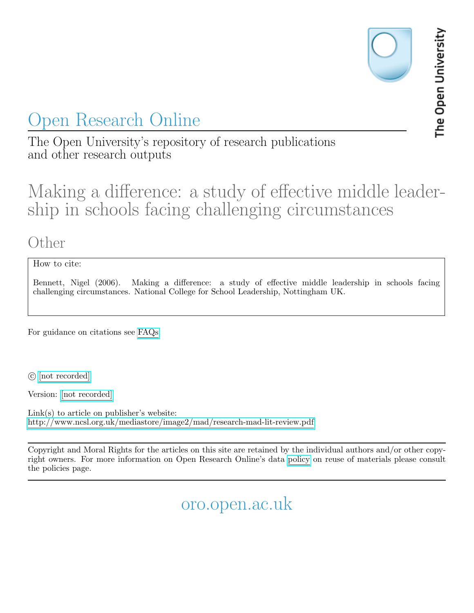# Open Research Online

The Open University's repository of research publications and other research outputs

# Making a difference: a study of effective middle leadership in schools facing challenging circumstances

# **Other**

How to cite:

Bennett, Nigel (2006). Making a difference: a study of effective middle leadership in schools facing challenging circumstances. National College for School Leadership, Nottingham UK.

For guidance on citations see [FAQs.](http://oro.open.ac.uk/help/helpfaq.html)

c [\[not recorded\]](http://oro.open.ac.uk/help/helpfaq.html#Unrecorded_information_on_coversheet)

Version: [\[not recorded\]](http://oro.open.ac.uk/help/helpfaq.html#Unrecorded_information_on_coversheet)

Link(s) to article on publisher's website: <http://www.ncsl.org.uk/mediastore/image2/mad/research-mad-lit-review.pdf>

Copyright and Moral Rights for the articles on this site are retained by the individual authors and/or other copyright owners. For more information on Open Research Online's data [policy](http://oro.open.ac.uk/policies.html) on reuse of materials please consult the policies page.

oro.open.ac.uk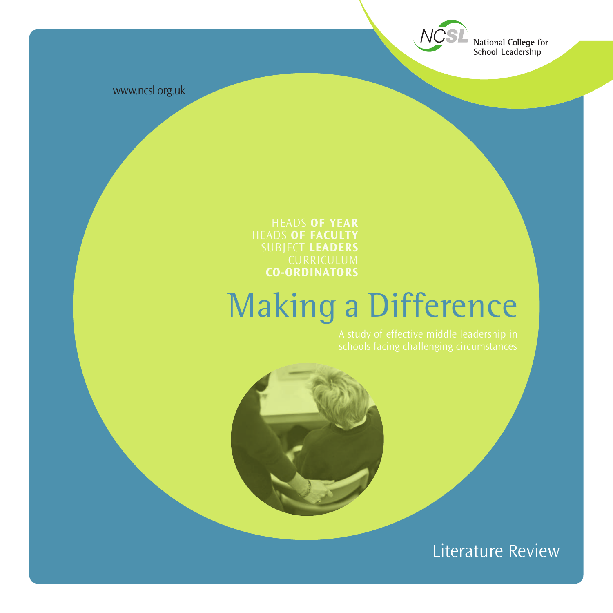

**National College for<br>School Leadership** 

www.ncsl.org.uk

# Making a Difference



Literature Review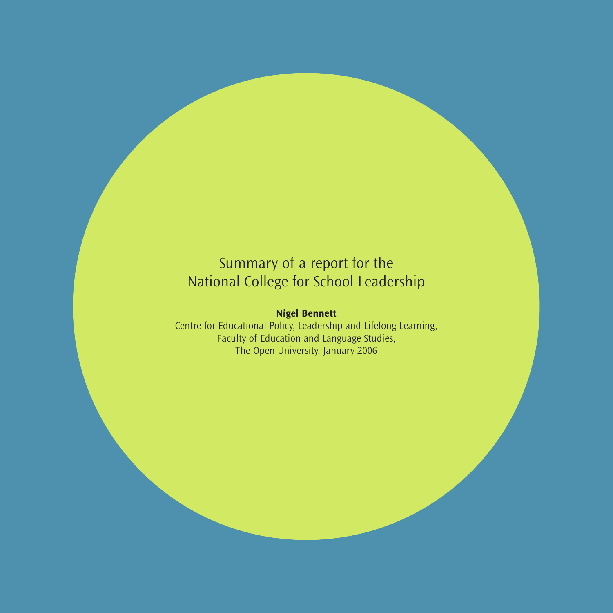### Summary of a report for the National College for School Leadership

#### **Nigel Bennett**

Centre for Educational Policy, Leadership and Lifelong Learning, Faculty of Education and Language Studies, The Open University. January 2006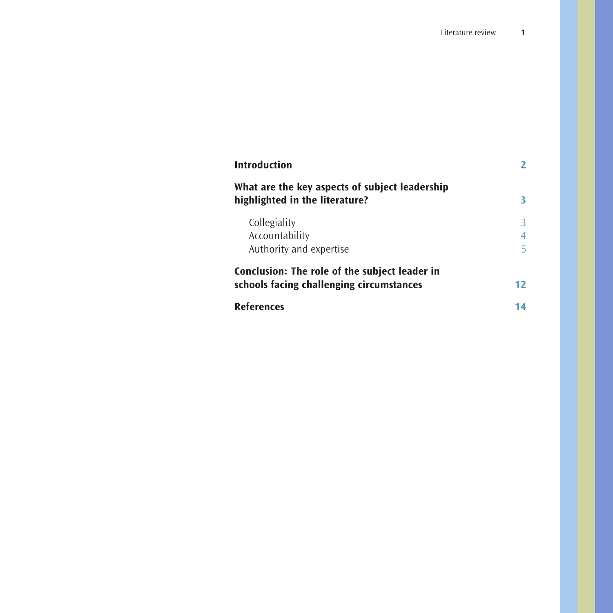| <b>Introduction</b>                                                              | 2              |
|----------------------------------------------------------------------------------|----------------|
| What are the key aspects of subject leadership<br>highlighted in the literature? | 3              |
| Collegiality                                                                     | 3              |
| Accountability                                                                   | $\overline{4}$ |
| Authority and expertise                                                          | 5              |
| Conclusion: The role of the subject leader in                                    |                |
| schools facing challenging circumstances                                         | 12             |
| <b>References</b>                                                                | 14             |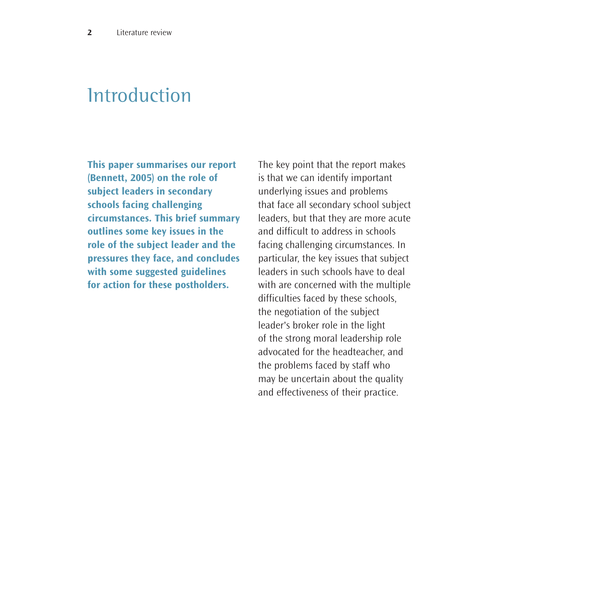## **Introduction**

**This paper summarises our report (Bennett, 2005) on the role of subject leaders in secondary schools facing challenging circumstances. This brief summary outlines some key issues in the role of the subject leader and the pressures they face, and concludes with some suggested guidelines for action for these postholders.** 

The key point that the report makes is that we can identify important underlying issues and problems that face all secondary school subject leaders, but that they are more acute and difficult to address in schools facing challenging circumstances. In particular, the key issues that subject leaders in such schools have to deal with are concerned with the multiple difficulties faced by these schools, the negotiation of the subject leader's broker role in the light of the strong moral leadership role advocated for the headteacher, and the problems faced by staff who may be uncertain about the quality and effectiveness of their practice.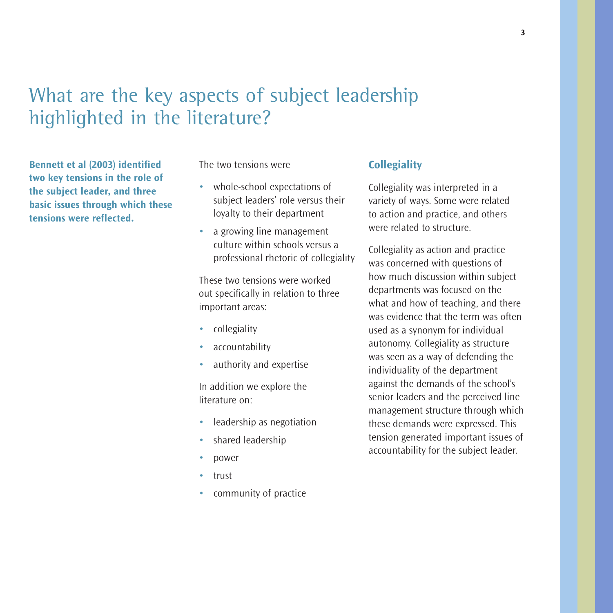## What are the key aspects of subject leadership highlighted in the literature?

**Bennett et al (2003) identified two key tensions in the role of the subject leader, and three basic issues through which these tensions were reflected.** 

The two tensions were

- whole-school expectations of subject leaders' role versus their loyalty to their department
- a growing line management culture within schools versus a professional rhetoric of collegiality

These two tensions were worked out specifically in relation to three important areas:

- collegiality
- accountability
- authority and expertise

In addition we explore the literature on:

- leadership as negotiation
- shared leadership
- power
- trust
- community of practice

#### **Collegiality**

Collegiality was interpreted in a variety of ways. Some were related to action and practice, and others were related to structure.

Collegiality as action and practice was concerned with questions of how much discussion within subject departments was focused on the what and how of teaching, and there was evidence that the term was often used as a synonym for individual autonomy. Collegiality as structure was seen as a way of defending the individuality of the department against the demands of the school's senior leaders and the perceived line management structure through which these demands were expressed. This tension generated important issues of accountability for the subject leader.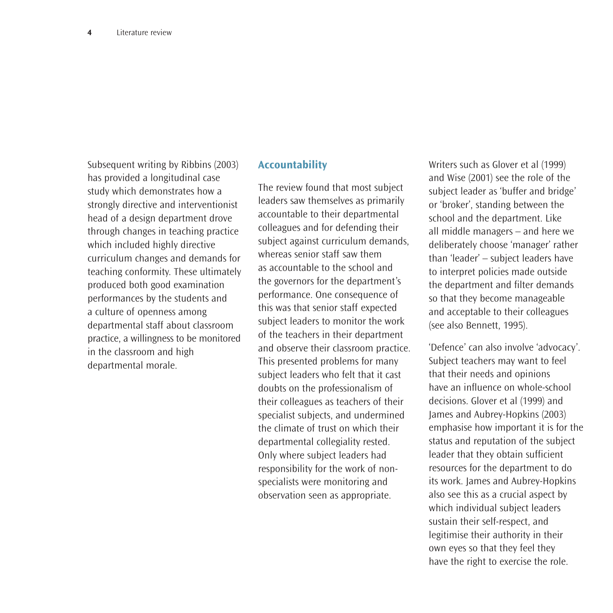Subsequent writing by Ribbins (2003) has provided a longitudinal case study which demonstrates how a strongly directive and interventionist head of a design department drove through changes in teaching practice which included highly directive curriculum changes and demands for teaching conformity. These ultimately produced both good examination performances by the students and a culture of openness among departmental staff about classroom practice, a willingness to be monitored in the classroom and high departmental morale.

#### **Accountability**

The review found that most subject leaders saw themselves as primarily accountable to their departmental colleagues and for defending their subject against curriculum demands, whereas senior staff saw them as accountable to the school and the governors for the department's performance. One consequence of this was that senior staff expected subject leaders to monitor the work of the teachers in their department and observe their classroom practice. This presented problems for many subject leaders who felt that it cast doubts on the professionalism of their colleagues as teachers of their specialist subjects, and undermined the climate of trust on which their departmental collegiality rested. Only where subject leaders had responsibility for the work of nonspecialists were monitoring and observation seen as appropriate.

Writers such as Glover et al (1999) and Wise (2001) see the role of the subject leader as 'buffer and bridge' or 'broker', standing between the school and the department. Like all middle managers – and here we deliberately choose 'manager' rather than 'leader' – subject leaders have to interpret policies made outside the department and filter demands so that they become manageable and acceptable to their colleagues (see also Bennett, 1995).

'Defence' can also involve 'advocacy'. Subject teachers may want to feel that their needs and opinions have an influence on whole-school decisions. Glover et al (1999) and James and Aubrey-Hopkins (2003) emphasise how important it is for the status and reputation of the subject leader that they obtain sufficient resources for the department to do its work. James and Aubrey-Hopkins also see this as a crucial aspect by which individual subject leaders sustain their self-respect, and legitimise their authority in their own eyes so that they feel they have the right to exercise the role.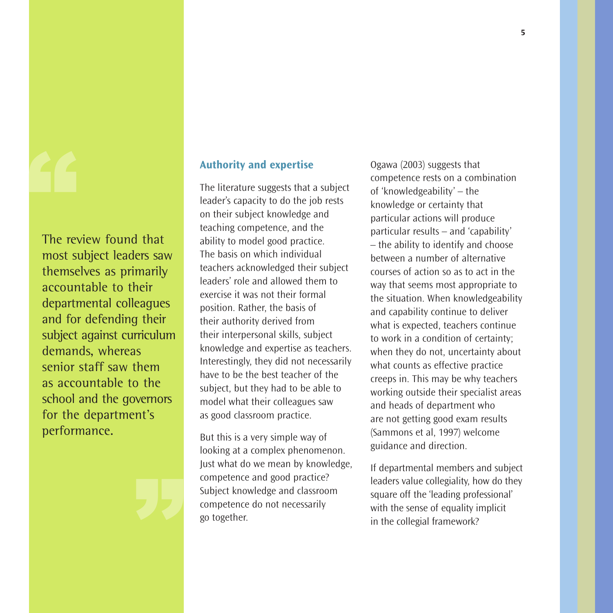# The re

The review found that most subject leaders saw themselves as primarily accountable to their departmental colleagues and for defending their subject against curriculum demands, whereas senior staff saw them as accountable to the school and the governors for the department's performance.

-<br>"<br>"

#### **Authority and expertise**

The literature suggests that a subject leader's capacity to do the job rests on their subject knowledge and teaching competence, and the ability to model good practice. The basis on which individual teachers acknowledged their subject leaders' role and allowed them to exercise it was not their formal position. Rather, the basis of their authority derived from their interpersonal skills, subject knowledge and expertise as teachers. Interestingly, they did not necessarily have to be the best teacher of the subject, but they had to be able to model what their colleagues saw as good classroom practice.

But this is a very simple way of looking at a complex phenomenon. Just what do we mean by knowledge, competence and good practice? Subject knowledge and classroom competence do not necessarily go together.

Ogawa (2003) suggests that competence rests on a combination of 'knowledgeability' – the knowledge or certainty that particular actions will produce particular results – and 'capability' – the ability to identify and choose between a number of alternative courses of action so as to act in the way that seems most appropriate to the situation. When knowledgeability and capability continue to deliver what is expected, teachers continue to work in a condition of certainty; when they do not, uncertainty about what counts as effective practice creeps in. This may be why teachers working outside their specialist areas and heads of department who are not getting good exam results (Sammons et al, 1997) welcome guidance and direction.

If departmental members and subject leaders value collegiality, how do they square off the 'leading professional' with the sense of equality implicit in the collegial framework?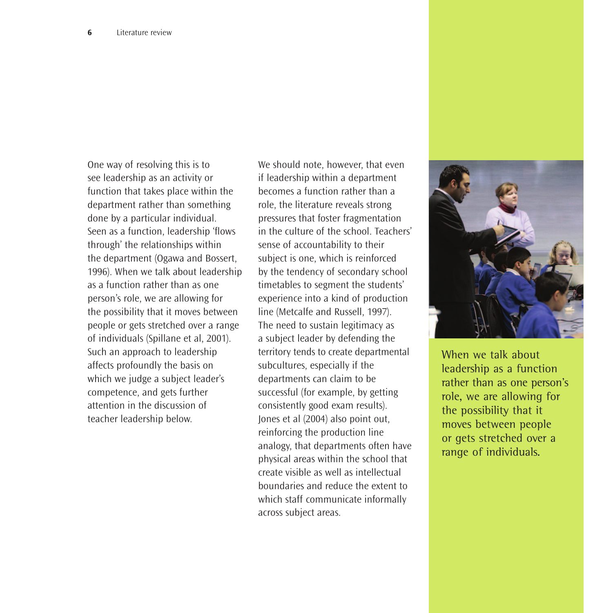One way of resolving this is to see leadership as an activity or function that takes place within the department rather than something done by a particular individual. Seen as a function, leadership 'flows through' the relationships within the department (Ogawa and Bossert, 1996). When we talk about leadership as a function rather than as one person's role, we are allowing for the possibility that it moves between people or gets stretched over a range of individuals (Spillane et al, 2001). Such an approach to leadership affects profoundly the basis on which we judge a subject leader's competence, and gets further attention in the discussion of teacher leadership below.

We should note, however, that even if leadership within a department becomes a function rather than a role, the literature reveals strong pressures that foster fragmentation in the culture of the school. Teachers' sense of accountability to their subject is one, which is reinforced by the tendency of secondary school timetables to segment the students' experience into a kind of production line (Metcalfe and Russell, 1997). The need to sustain legitimacy as a subject leader by defending the territory tends to create departmental subcultures, especially if the departments can claim to be successful (for example, by getting consistently good exam results). Jones et al (2004) also point out, reinforcing the production line analogy, that departments often have physical areas within the school that create visible as well as intellectual boundaries and reduce the extent to which staff communicate informally across subject areas.



When we talk about leadership as a function rather than as one person's role, we are allowing for the possibility that it moves between people or gets stretched over a range of individuals.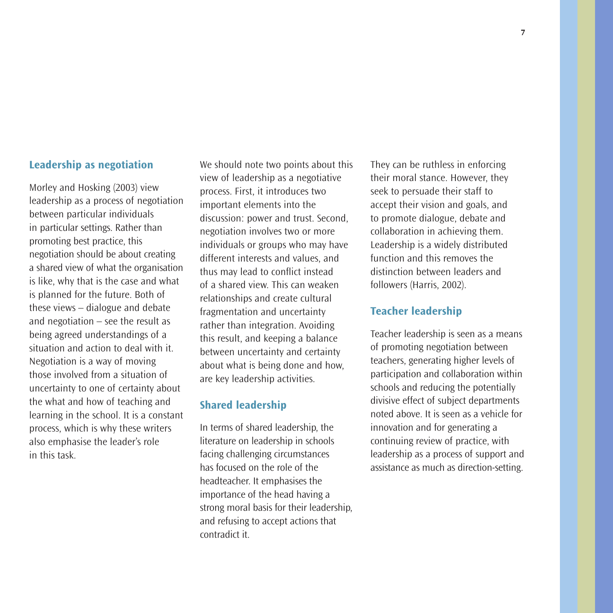#### **Leadership as negotiation**

Morley and Hosking (2003) view leadership as a process of negotiation between particular individuals in particular settings. Rather than promoting best practice, this negotiation should be about creating a shared view of what the organisation is like, why that is the case and what is planned for the future. Both of these views – dialogue and debate and negotiation – see the result as being agreed understandings of a situation and action to deal with it. Negotiation is a way of moving those involved from a situation of uncertainty to one of certainty about the what and how of teaching and learning in the school. It is a constant process, which is why these writers also emphasise the leader's role in this task.

We should note two points about this view of leadership as a negotiative process. First, it introduces two important elements into the discussion: power and trust. Second, negotiation involves two or more individuals or groups who may have different interests and values, and thus may lead to conflict instead of a shared view. This can weaken relationships and create cultural fragmentation and uncertainty rather than integration. Avoiding this result, and keeping a balance between uncertainty and certainty about what is being done and how, are key leadership activities.

#### **Shared leadership**

In terms of shared leadership, the literature on leadership in schools facing challenging circumstances has focused on the role of the headteacher. It emphasises the importance of the head having a strong moral basis for their leadership, and refusing to accept actions that contradict it.

They can be ruthless in enforcing their moral stance. However, they seek to persuade their staff to accept their vision and goals, and to promote dialogue, debate and collaboration in achieving them. Leadership is a widely distributed function and this removes the distinction between leaders and followers (Harris, 2002).

#### **Teacher leadership**

Teacher leadership is seen as a means of promoting negotiation between teachers, generating higher levels of participation and collaboration within schools and reducing the potentially divisive effect of subject departments noted above. It is seen as a vehicle for innovation and for generating a continuing review of practice, with leadership as a process of support and assistance as much as direction-setting.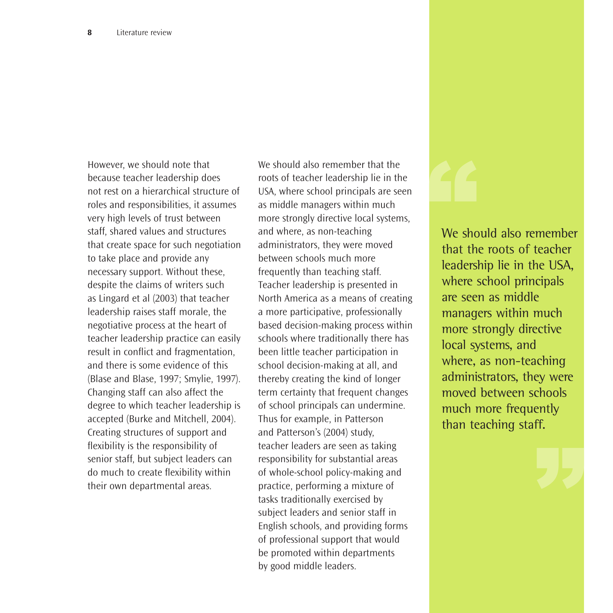However, we should note that because teacher leadership does not rest on a hierarchical structure of roles and responsibilities, it assumes very high levels of trust between staff, shared values and structures that create space for such negotiation to take place and provide any necessary support. Without these, despite the claims of writers such as Lingard et al (2003) that teacher leadership raises staff morale, the negotiative process at the heart of teacher leadership practice can easily result in conflict and fragmentation, and there is some evidence of this (Blase and Blase, 1997; Smylie, 1997). Changing staff can also affect the degree to which teacher leadership is accepted (Burke and Mitchell, 2004). Creating structures of support and flexibility is the responsibility of senior staff, but subject leaders can do much to create flexibility within their own departmental areas.

We should also remember that the roots of teacher leadership lie in the USA, where school principals are seen as middle managers within much more strongly directive local systems, and where, as non-teaching administrators, they were moved between schools much more frequently than teaching staff. Teacher leadership is presented in North America as a means of creating a more participative, professionally based decision-making process within schools where traditionally there has been little teacher participation in school decision-making at all, and thereby creating the kind of longer term certainty that frequent changes of school principals can undermine. Thus for example, in Patterson and Patterson's (2004) study, teacher leaders are seen as taking responsibility for substantial areas of whole-school policy-making and practice, performing a mixture of tasks traditionally exercised by subject leaders and senior staff in English schools, and providing forms of professional support that would be promoted within departments by good middle leaders.

# We should be a short that the

We should also remember that the roots of teacher leadership lie in the USA, where school principals are seen as middle managers within much more strongly directive local systems, and where, as non-teaching administrators, they were moved between schools much more frequently than teaching staff.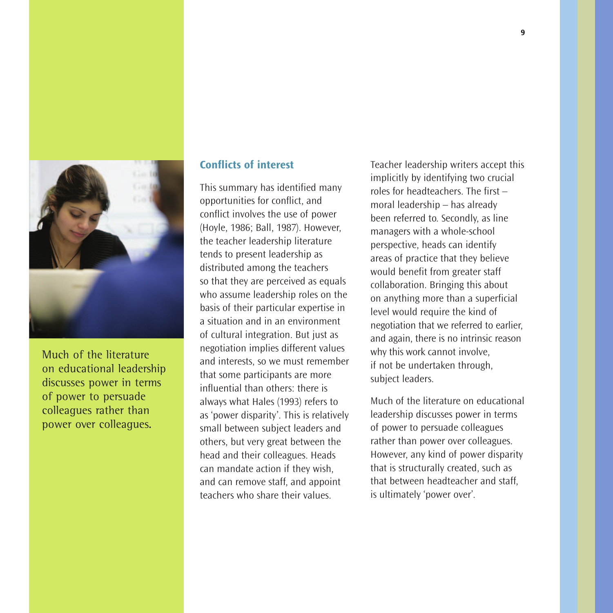

Much of the literature on educational leadership discusses power in terms of power to persuade colleagues rather than power over colleagues.

#### **Conflicts of interest**

This summary has identified many opportunities for conflict, and conflict involves the use of power (Hoyle, 1986; Ball, 1987). However, the teacher leadership literature tends to present leadership as distributed among the teachers so that they are perceived as equals who assume leadership roles on the basis of their particular expertise in a situation and in an environment of cultural integration. But just as negotiation implies different values and interests, so we must remember that some participants are more influential than others: there is always what Hales (1993) refers to as 'power disparity'. This is relatively small between subject leaders and others, but very great between the head and their colleagues. Heads can mandate action if they wish, and can remove staff, and appoint teachers who share their values.

Teacher leadership writers accept this implicitly by identifying two crucial roles for headteachers. The first – moral leadership – has already been referred to. Secondly, as line managers with a whole-school perspective, heads can identify areas of practice that they believe would benefit from greater staff collaboration. Bringing this about on anything more than a superficial level would require the kind of negotiation that we referred to earlier, and again, there is no intrinsic reason why this work cannot involve, if not be undertaken through, subject leaders.

Much of the literature on educational leadership discusses power in terms of power to persuade colleagues rather than power over colleagues. However, any kind of power disparity that is structurally created, such as that between headteacher and staff, is ultimately 'power over'.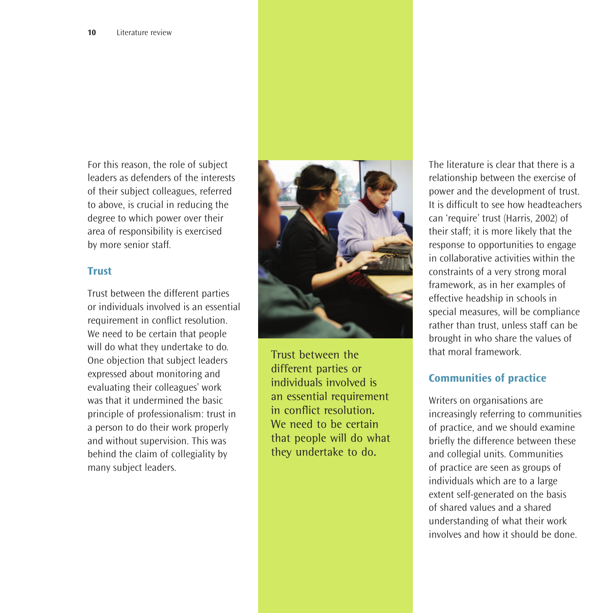For this reason, the role of subject leaders as defenders of the interests of their subject colleagues, referred to above, is crucial in reducing the degree to which power over their area of responsibility is exercised by more senior staff.

#### **Trust**

Trust between the different parties or individuals involved is an essential requirement in conflict resolution. We need to be certain that people will do what they undertake to do. One objection that subject leaders expressed about monitoring and evaluating their colleagues' work was that it undermined the basic principle of professionalism: trust in a person to do their work properly and without supervision. This was behind the claim of collegiality by many subject leaders.



Trust between the different parties or individuals involved is an essential requirement in conflict resolution. We need to be certain that people will do what they undertake to do.

The literature is clear that there is a relationship between the exercise of power and the development of trust. It is difficult to see how headteachers can 'require' trust (Harris, 2002) of their staff; it is more likely that the response to opportunities to engage in collaborative activities within the constraints of a very strong moral framework, as in her examples of effective headship in schools in special measures, will be compliance rather than trust, unless staff can be brought in who share the values of that moral framework.

#### **Communities of practice**

Writers on organisations are increasingly referring to communities of practice, and we should examine briefly the difference between these and collegial units. Communities of practice are seen as groups of individuals which are to a large extent self-generated on the basis of shared values and a shared understanding of what their work involves and how it should be done.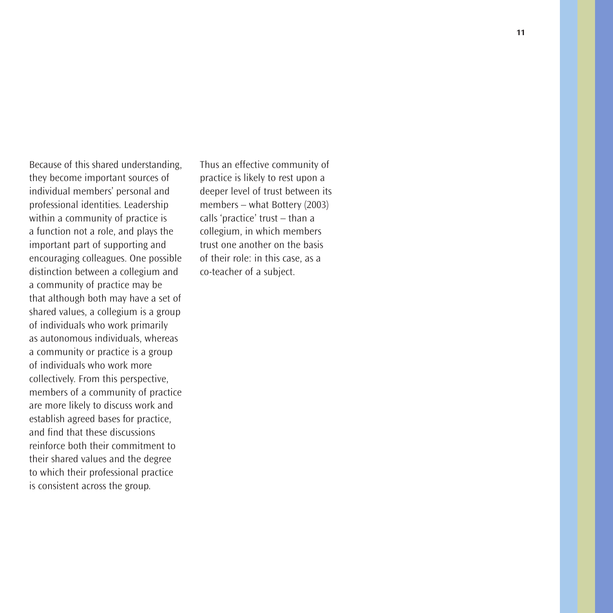Because of this shared understanding, they become important sources of individual members' personal and professional identities. Leadership within a community of practice is a function not a role, and plays the important part of supporting and encouraging colleagues. One possible distinction between a collegium and a community of practice may be that although both may have a set of shared values, a collegium is a group of individuals who work primarily as autonomous individuals, whereas a community or practice is a group of individuals who work more collectively. From this perspective, members of a community of practice are more likely to discuss work and establish agreed bases for practice, and find that these discussions reinforce both their commitment to their shared values and the degree to which their professional practice is consistent across the group.

Thus an effective community of practice is likely to rest upon a deeper level of trust between its members – what Bottery (2003) calls 'practice' trust – than a collegium, in which members trust one another on the basis of their role: in this case, as a co-teacher of a subject.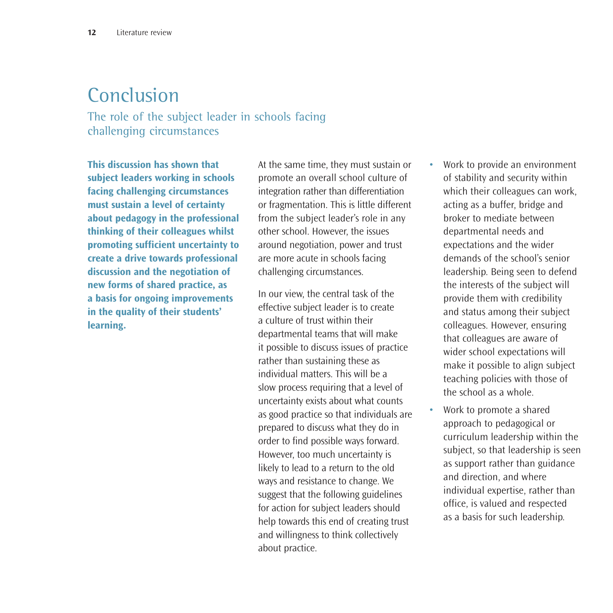# Conclusion

The role of the subject leader in schools facing challenging circumstances

**This discussion has shown that subject leaders working in schools facing challenging circumstances must sustain a level of certainty about pedagogy in the professional thinking of their colleagues whilst promoting sufficient uncertainty to create a drive towards professional discussion and the negotiation of new forms of shared practice, as a basis for ongoing improvements in the quality of their students' learning.** 

At the same time, they must sustain or promote an overall school culture of integration rather than differentiation or fragmentation. This is little different from the subject leader's role in any other school. However, the issues around negotiation, power and trust are more acute in schools facing challenging circumstances.

In our view, the central task of the effective subject leader is to create a culture of trust within their departmental teams that will make it possible to discuss issues of practice rather than sustaining these as individual matters. This will be a slow process requiring that a level of uncertainty exists about what counts as good practice so that individuals are prepared to discuss what they do in order to find possible ways forward. However, too much uncertainty is likely to lead to a return to the old ways and resistance to change. We suggest that the following guidelines for action for subject leaders should help towards this end of creating trust and willingness to think collectively about practice.

- Work to provide an environment of stability and security within which their colleagues can work, acting as a buffer, bridge and broker to mediate between departmental needs and expectations and the wider demands of the school's senior leadership. Being seen to defend the interests of the subject will provide them with credibility and status among their subject colleagues. However, ensuring that colleagues are aware of wider school expectations will make it possible to align subject teaching policies with those of the school as a whole.
- Work to promote a shared approach to pedagogical or curriculum leadership within the subject, so that leadership is seen as support rather than guidance and direction, and where individual expertise, rather than office, is valued and respected as a basis for such leadership.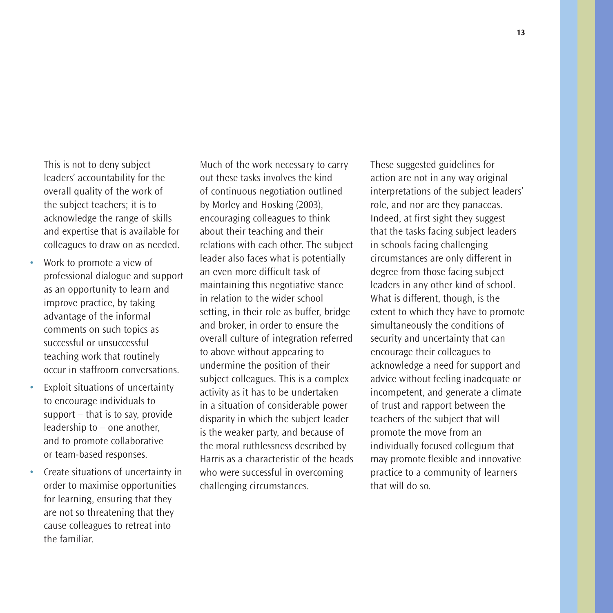This is not to deny subject leaders' accountability for the overall quality of the work of the subject teachers; it is to acknowledge the range of skills and expertise that is available for colleagues to draw on as needed.

- Work to promote a view of professional dialogue and support as an opportunity to learn and improve practice, by taking advantage of the informal comments on such topics as successful or unsuccessful teaching work that routinely occur in staffroom conversations.
- Exploit situations of uncertainty to encourage individuals to support – that is to say, provide leadership to – one another, and to promote collaborative or team-based responses.
- Create situations of uncertainty in order to maximise opportunities for learning, ensuring that they are not so threatening that they cause colleagues to retreat into the familiar.

Much of the work necessary to carry out these tasks involves the kind of continuous negotiation outlined by Morley and Hosking (2003), encouraging colleagues to think about their teaching and their relations with each other. The subject leader also faces what is potentially an even more difficult task of maintaining this negotiative stance in relation to the wider school setting, in their role as buffer, bridge and broker, in order to ensure the overall culture of integration referred to above without appearing to undermine the position of their subject colleagues. This is a complex activity as it has to be undertaken in a situation of considerable power disparity in which the subject leader is the weaker party, and because of the moral ruthlessness described by Harris as a characteristic of the heads who were successful in overcoming challenging circumstances.

These suggested guidelines for action are not in any way original interpretations of the subject leaders' role, and nor are they panaceas. Indeed, at first sight they suggest that the tasks facing subject leaders in schools facing challenging circumstances are only different in degree from those facing subject leaders in any other kind of school. What is different, though, is the extent to which they have to promote simultaneously the conditions of security and uncertainty that can encourage their colleagues to acknowledge a need for support and advice without feeling inadequate or incompetent, and generate a climate of trust and rapport between the teachers of the subject that will promote the move from an individually focused collegium that may promote flexible and innovative practice to a community of learners that will do so.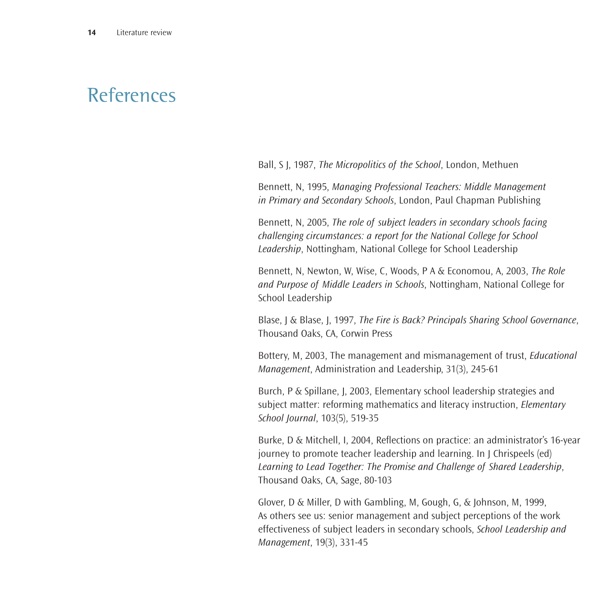### References

Ball, S J, 1987, *The Micropolitics of the School*, London, Methuen

Bennett, N, 1995, *Managing Professional Teachers: Middle Management in Primary and Secondary Schools*, London, Paul Chapman Publishing

Bennett, N, 2005, *The role of subject leaders in secondary schools facing challenging circumstances: a report for the National College for School Leadership*, Nottingham, National College for School Leadership

Bennett, N, Newton, W, Wise, C, Woods, P A & Economou, A, 2003, *The Role and Purpose of Middle Leaders in Schools*, Nottingham, National College for School Leadership

Blase, J & Blase, J, 1997, *The Fire is Back? Principals Sharing School Governance*, Thousand Oaks, CA, Corwin Press

Bottery, M, 2003, The management and mismanagement of trust, *Educational Management*, Administration and Leadership, 31(3), 245-61

Burch, P & Spillane, J, 2003, Elementary school leadership strategies and subject matter: reforming mathematics and literacy instruction, *Elementary School Journal*, 103(5), 519-35

Burke, D & Mitchell, I, 2004, Reflections on practice: an administrator's 16-year journey to promote teacher leadership and learning. In J Chrispeels (ed) *Learning to Lead Together: The Promise and Challenge of Shared Leadership*, Thousand Oaks, CA, Sage, 80-103

Glover, D & Miller, D with Gambling, M, Gough, G, & Johnson, M, 1999, As others see us: senior management and subject perceptions of the work effectiveness of subject leaders in secondary schools, *School Leadership and Management*, 19(3), 331-45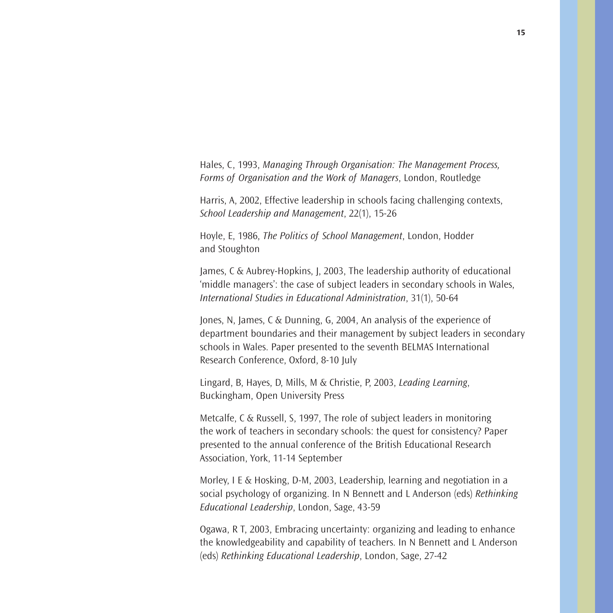Hales, C, 1993, *Managing Through Organisation: The Management Process, Forms of Organisation and the Work of Managers*, London, Routledge

Harris, A, 2002, Effective leadership in schools facing challenging contexts, *School Leadership and Management*, 22(1), 15-26

Hoyle, E, 1986, *The Politics of School Management*, London, Hodder and Stoughton

James, C & Aubrey-Hopkins, J, 2003, The leadership authority of educational 'middle managers': the case of subject leaders in secondary schools in Wales, *International Studies in Educational Administration*, 31(1), 50-64

Jones, N, James, C & Dunning, G, 2004, An analysis of the experience of department boundaries and their management by subject leaders in secondary schools in Wales. Paper presented to the seventh BELMAS International Research Conference, Oxford, 8-10 July

Lingard, B, Hayes, D, Mills, M & Christie, P, 2003, *Leading Learning*, Buckingham, Open University Press

Metcalfe, C & Russell, S, 1997, The role of subject leaders in monitoring the work of teachers in secondary schools: the quest for consistency? Paper presented to the annual conference of the British Educational Research Association, York, 11-14 September

Morley, I E & Hosking, D-M, 2003, Leadership, learning and negotiation in a social psychology of organizing. In N Bennett and L Anderson (eds) *Rethinking Educational Leadership*, London, Sage, 43-59

Ogawa, R T, 2003, Embracing uncertainty: organizing and leading to enhance the knowledgeability and capability of teachers. In N Bennett and L Anderson (eds) *Rethinking Educational Leadership*, London, Sage, 27-42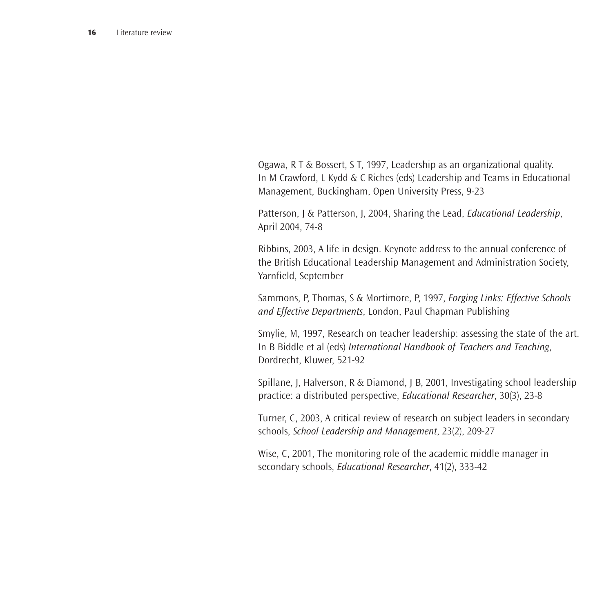Ogawa, R T & Bossert, S T, 1997, Leadership as an organizational quality. In M Crawford, L Kydd & C Riches (eds) Leadership and Teams in Educational Management, Buckingham, Open University Press, 9-23

Patterson, J & Patterson, J, 2004, Sharing the Lead, *Educational Leadership*, April 2004, 74-8

Ribbins, 2003, A life in design. Keynote address to the annual conference of the British Educational Leadership Management and Administration Society, Yarnfield, September

Sammons, P, Thomas, S & Mortimore, P, 1997, *Forging Links: Effective Schools and Effective Departments*, London, Paul Chapman Publishing

Smylie, M, 1997, Research on teacher leadership: assessing the state of the art. In B Biddle et al (eds) *International Handbook of Teachers and Teaching*, Dordrecht, Kluwer, 521-92

Spillane, J, Halverson, R & Diamond, J B, 2001, Investigating school leadership practice: a distributed perspective, *Educational Researcher*, 30(3), 23-8

Turner, C, 2003, A critical review of research on subject leaders in secondary schools, *School Leadership and Management*, 23(2), 209-27

Wise, C, 2001, The monitoring role of the academic middle manager in secondary schools, *Educational Researcher*, 41(2), 333-42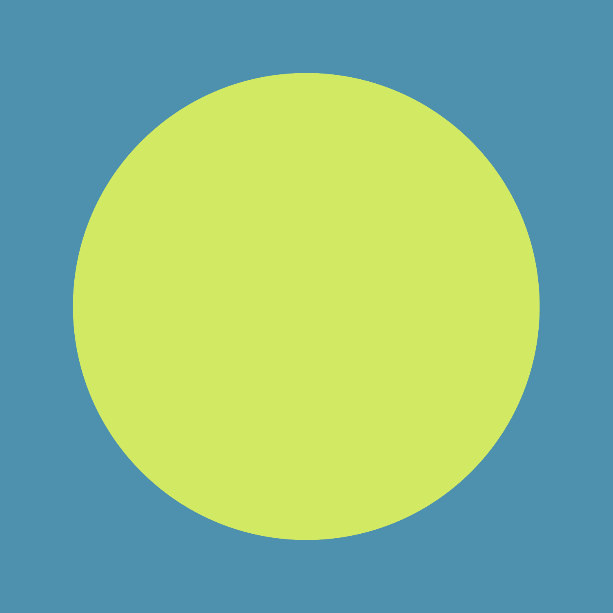